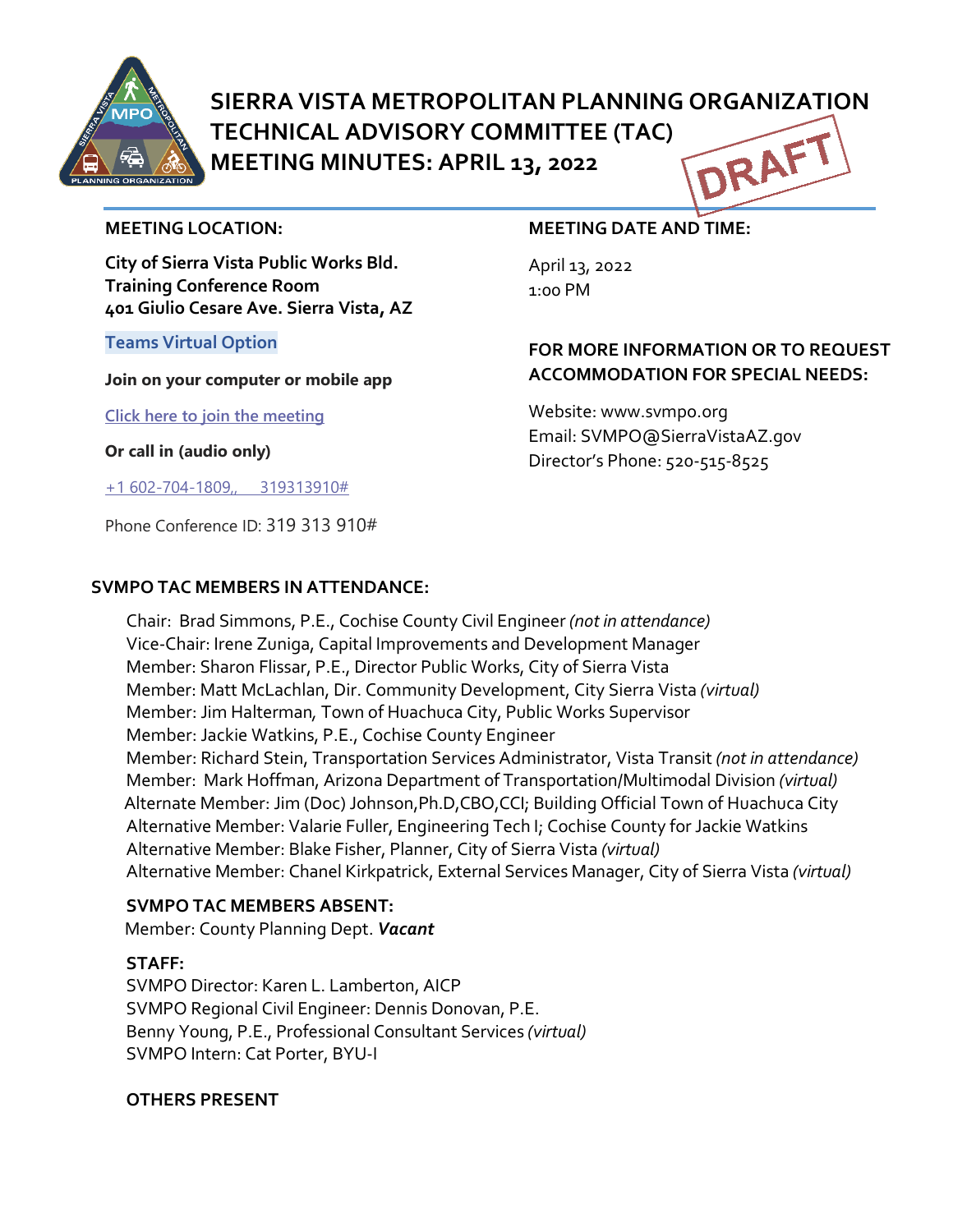

# **SIERRA VISTA METROPOLITAN PLANNING ORGANIZATION TECHNICAL ADVISORY COMMITTEE (TAC)** DRAF **MEETING MINUTES: APRIL 13, 2022**

#### **MEETING LOCATION:**

**City of Sierra Vista Public Works Bld. Training Conference Room 401 Giulio Cesare Ave. Sierra Vista, AZ**

#### **Teams Virtual Option**

**Join on your computer or mobile app**

**[Click here to join the meeting](https://teams.microsoft.com/l/meetup-join/19%3ameeting_MGQ5YTEzMmYtMWU5My00YWFjLWI0YjYtZmUwZmRiMTY0YWU4%40thread.v2/0?context=%7b%22Tid%22%3a%2236676c86-4a76-422a-8d4e-223152386488%22%2c%22Oid%22%3a%22956098f9-794b-4934-9a34-9a99f53bf1f3%22%7d)**

**Or call in (audio only)**

[+1 602-704-1809,, 319313910#](tel:+16027041809,,319313910#%20)

Phone Conference ID: 319 313 910#

## **SVMPO TAC MEMBERS IN ATTENDANCE:**

#### **MEETING DATE AND TIME:**

April 13, 2022 1:00 PM

# **FOR MORE INFORMATION OR TO REQUEST ACCOMMODATION FOR SPECIAL NEEDS:**

Website: www.svmpo.org Email: SVMPO@SierraVistaAZ.gov Director's Phone: 520-515-8525

Chair: Brad Simmons, P.E., Cochise County Civil Engineer *(not in attendance)*  Vice-Chair: Irene Zuniga, Capital Improvements and Development Manager Member: Sharon Flissar, P.E., Director Public Works, City of Sierra Vista Member: Matt McLachlan, Dir. Community Development, City Sierra Vista *(virtual)* Member: Jim Halterman*,* Town of Huachuca City, Public Works Supervisor Member: Jackie Watkins, P.E., Cochise County Engineer Member: Richard Stein, Transportation Services Administrator, Vista Transit *(not in attendance)* Member: Mark Hoffman, Arizona Department of Transportation/Multimodal Division *(virtual)* Alternate Member: Jim (Doc) Johnson,Ph.D,CBO,CCI; Building Official Town of Huachuca City Alternative Member: Valarie Fuller, Engineering Tech I; Cochise County for Jackie Watkins Alternative Member: Blake Fisher, Planner, City of Sierra Vista *(virtual)* Alternative Member: Chanel Kirkpatrick, External Services Manager, City of Sierra Vista *(virtual)*

## **SVMPO TAC MEMBERS ABSENT:**

Member: County Planning Dept. *Vacant*

## **STAFF:**

SVMPO Director: Karen L. Lamberton, AICP SVMPO Regional Civil Engineer: Dennis Donovan, P.E. Benny Young, P.E., Professional Consultant Services *(virtual)* SVMPO Intern: Cat Porter, BYU-I

## **OTHERS PRESENT**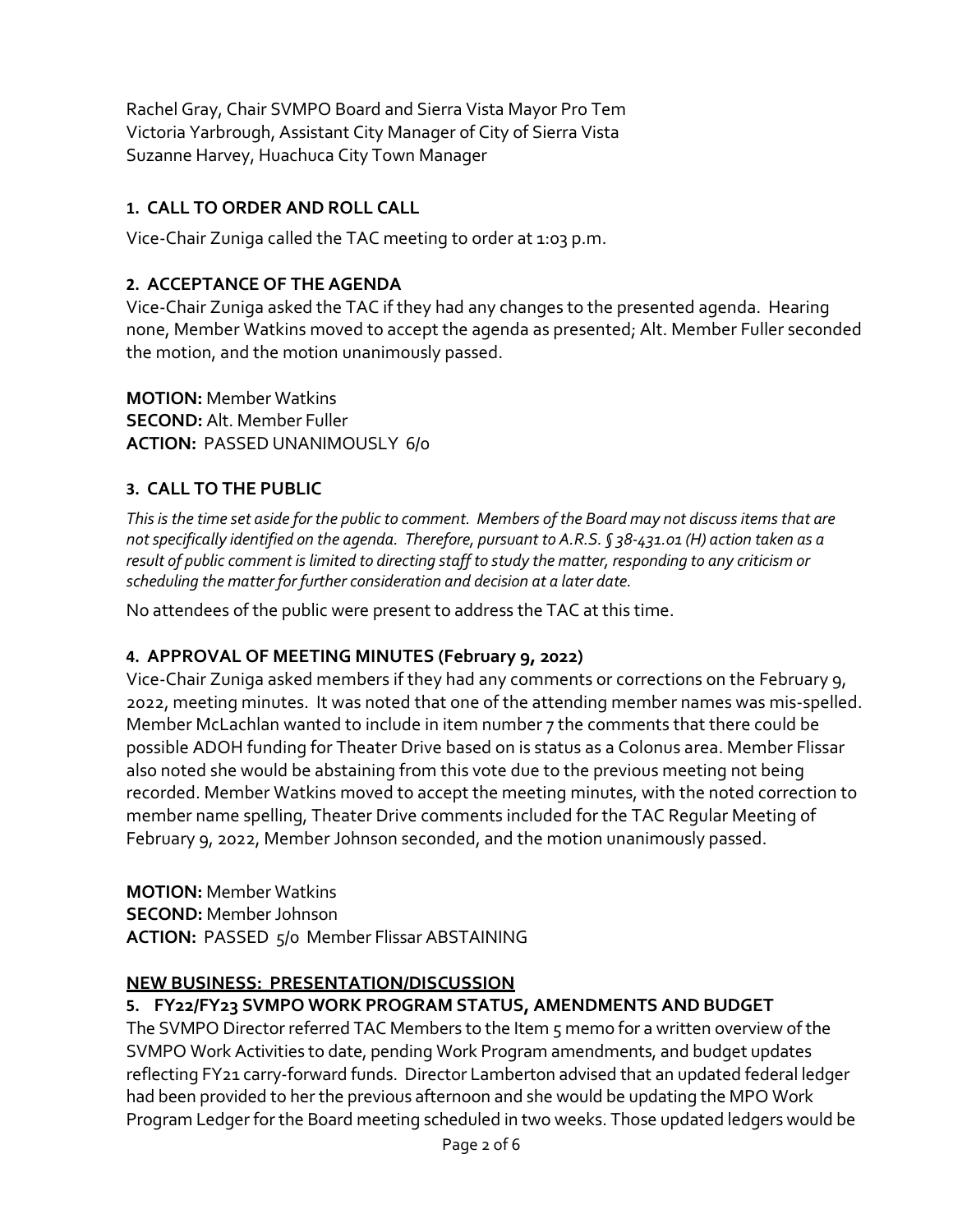Rachel Gray, Chair SVMPO Board and Sierra Vista Mayor Pro Tem Victoria Yarbrough, Assistant City Manager of City of Sierra Vista Suzanne Harvey, Huachuca City Town Manager

# **1. CALL TO ORDER AND ROLL CALL**

Vice-Chair Zuniga called the TAC meeting to order at 1:03 p.m.

## **2. ACCEPTANCE OF THE AGENDA**

Vice-Chair Zuniga asked the TAC if they had any changes to the presented agenda. Hearing none, Member Watkins moved to accept the agenda as presented; Alt. Member Fuller seconded the motion, and the motion unanimously passed.

**MOTION:** Member Watkins **SECOND:** Alt. Member Fuller **ACTION:** PASSED UNANIMOUSLY 6/0

## **3. CALL TO THE PUBLIC**

*This is the time set aside for the public to comment. Members of the Board may not discuss items that are not specifically identified on the agenda. Therefore, pursuant to A.R.S. § 38-431.01 (H) action taken as a result of public comment is limited to directing staff to study the matter, responding to any criticism or scheduling the matter for further consideration and decision at a later date.*

No attendees of the public were present to address the TAC at this time.

## **4. APPROVAL OF MEETING MINUTES (February 9, 2022)**

Vice-Chair Zuniga asked members if they had any comments or corrections on the February 9, 2022, meeting minutes. It was noted that one of the attending member names was mis-spelled. Member McLachlan wanted to include in item number 7 the comments that there could be possible ADOH funding for Theater Drive based on is status as a Colonus area. Member Flissar also noted she would be abstaining from this vote due to the previous meeting not being recorded. Member Watkins moved to accept the meeting minutes, with the noted correction to member name spelling, Theater Drive comments included for the TAC Regular Meeting of February 9, 2022, Member Johnson seconded, and the motion unanimously passed.

**MOTION:** Member Watkins **SECOND:** Member Johnson **ACTION:** PASSED 5/0 Member Flissar ABSTAINING

## **NEW BUSINESS: PRESENTATION/DISCUSSION**

## **5. FY22/FY23 SVMPO WORK PROGRAM STATUS, AMENDMENTS AND BUDGET**

The SVMPO Director referred TAC Members to the Item 5 memo for a written overview of the SVMPO Work Activities to date, pending Work Program amendments, and budget updates reflecting FY21 carry-forward funds. Director Lamberton advised that an updated federal ledger had been provided to her the previous afternoon and she would be updating the MPO Work Program Ledger for the Board meeting scheduled in two weeks. Those updated ledgers would be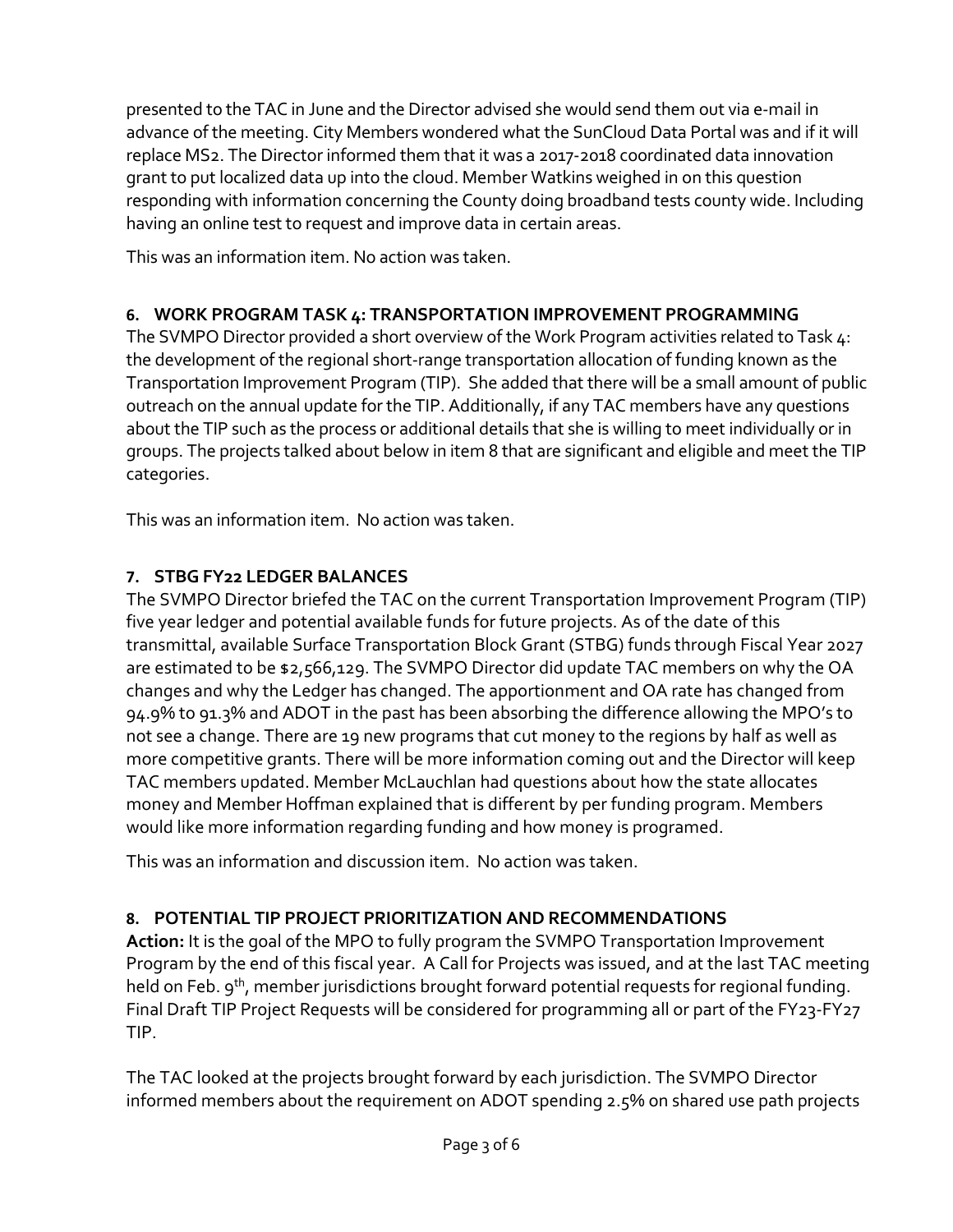presented to the TAC in June and the Director advised she would send them out via e-mail in advance of the meeting. City Members wondered what the SunCloud Data Portal was and if it will replace MS2. The Director informed them that it was a 2017-2018 coordinated data innovation grant to put localized data up into the cloud. Member Watkins weighed in on this question responding with information concerning the County doing broadband tests county wide. Including having an online test to request and improve data in certain areas.

This was an information item. No action was taken.

## **6. WORK PROGRAM TASK 4: TRANSPORTATION IMPROVEMENT PROGRAMMING**

The SVMPO Director provided a short overview of the Work Program activities related to Task 4: the development of the regional short-range transportation allocation of funding known as the Transportation Improvement Program (TIP). She added that there will be a small amount of public outreach on the annual update for the TIP. Additionally, if any TAC members have any questions about the TIP such as the process or additional details that she is willing to meet individually or in groups. The projects talked about below in item 8 that are significant and eligible and meet the TIP categories.

This was an information item. No action was taken.

# **7. STBG FY22 LEDGER BALANCES**

The SVMPO Director briefed the TAC on the current Transportation Improvement Program (TIP) five year ledger and potential available funds for future projects. As of the date of this transmittal, available Surface Transportation Block Grant (STBG) funds through Fiscal Year 2027 are estimated to be \$2,566,129. The SVMPO Director did update TAC members on why the OA changes and why the Ledger has changed. The apportionment and OA rate has changed from 94.9% to 91.3% and ADOT in the past has been absorbing the difference allowing the MPO's to not see a change. There are 19 new programs that cut money to the regions by half as well as more competitive grants. There will be more information coming out and the Director will keep TAC members updated. Member McLauchlan had questions about how the state allocates money and Member Hoffman explained that is different by per funding program. Members would like more information regarding funding and how money is programed.

This was an information and discussion item. No action was taken.

# **8. POTENTIAL TIP PROJECT PRIORITIZATION AND RECOMMENDATIONS**

**Action:** It is the goal of the MPO to fully program the SVMPO Transportation Improvement Program by the end of this fiscal year. A Call for Projects was issued, and at the last TAC meeting held on Feb. 9<sup>th</sup>, member jurisdictions brought forward potential requests for regional funding. Final Draft TIP Project Requests will be considered for programming all or part of the FY23-FY27 TIP.

The TAC looked at the projects brought forward by each jurisdiction. The SVMPO Director informed members about the requirement on ADOT spending 2.5% on shared use path projects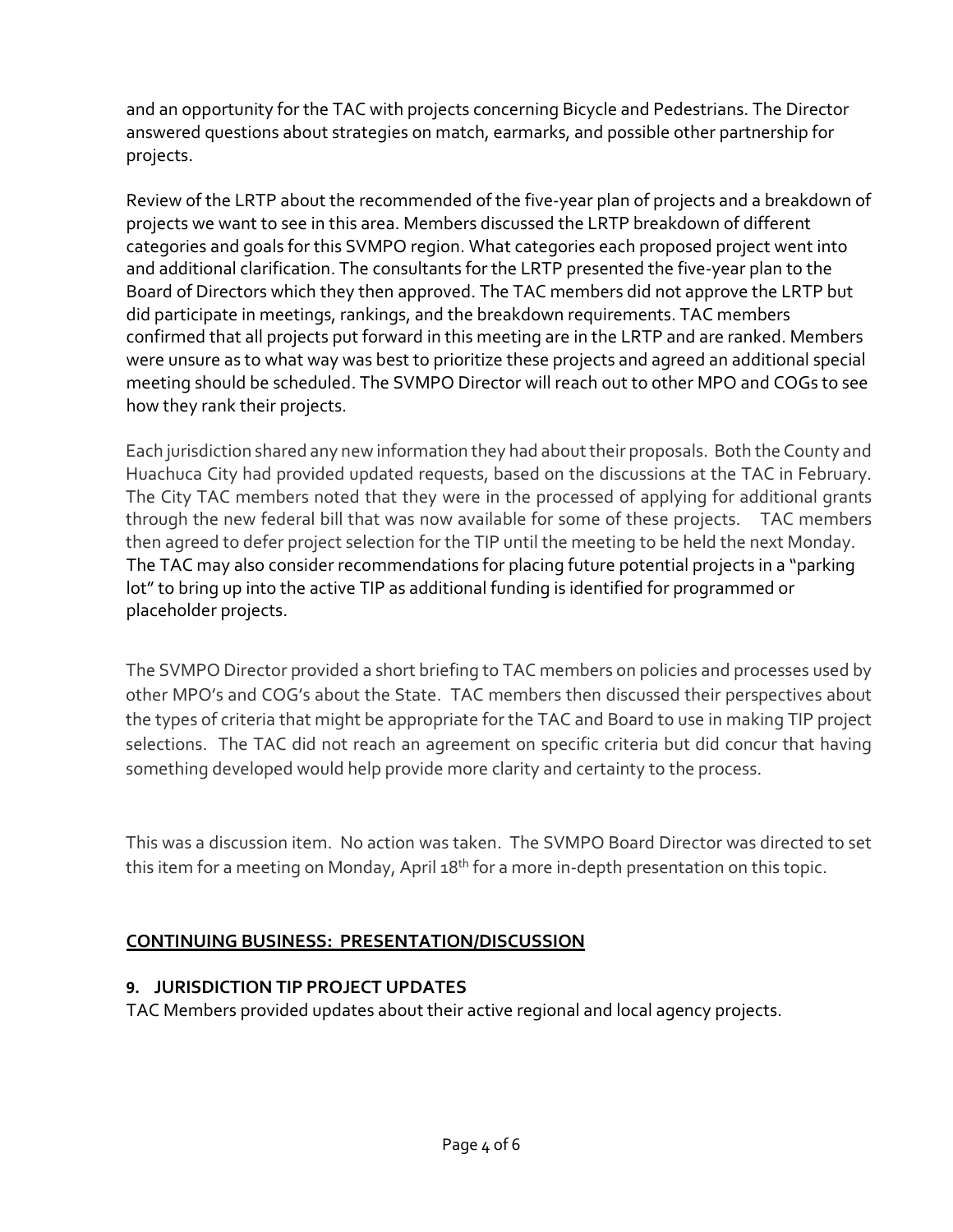and an opportunity for the TAC with projects concerning Bicycle and Pedestrians. The Director answered questions about strategies on match, earmarks, and possible other partnership for projects.

Review of the LRTP about the recommended of the five-year plan of projects and a breakdown of projects we want to see in this area. Members discussed the LRTP breakdown of different categories and goals for this SVMPO region. What categories each proposed project went into and additional clarification. The consultants for the LRTP presented the five-year plan to the Board of Directors which they then approved. The TAC members did not approve the LRTP but did participate in meetings, rankings, and the breakdown requirements. TAC members confirmed that all projects put forward in this meeting are in the LRTP and are ranked. Members were unsure as to what way was best to prioritize these projects and agreed an additional special meeting should be scheduled. The SVMPO Director will reach out to other MPO and COGs to see how they rank their projects.

Each jurisdiction shared any new information they had about their proposals. Both the County and Huachuca City had provided updated requests, based on the discussions at the TAC in February. The City TAC members noted that they were in the processed of applying for additional grants through the new federal bill that was now available for some of these projects. TAC members then agreed to defer project selection for the TIP until the meeting to be held the next Monday. The TAC may also consider recommendations for placing future potential projects in a "parking lot" to bring up into the active TIP as additional funding is identified for programmed or placeholder projects.

The SVMPO Director provided a short briefing to TAC members on policies and processes used by other MPO's and COG's about the State. TAC members then discussed their perspectives about the types of criteria that might be appropriate for the TAC and Board to use in making TIP project selections. The TAC did not reach an agreement on specific criteria but did concur that having something developed would help provide more clarity and certainty to the process.

This was a discussion item. No action was taken. The SVMPO Board Director was directed to set this item for a meeting on Monday, April 18<sup>th</sup> for a more in-depth presentation on this topic.

# **CONTINUING BUSINESS: PRESENTATION/DISCUSSION**

# **9. JURISDICTION TIP PROJECT UPDATES**

TAC Members provided updates about their active regional and local agency projects.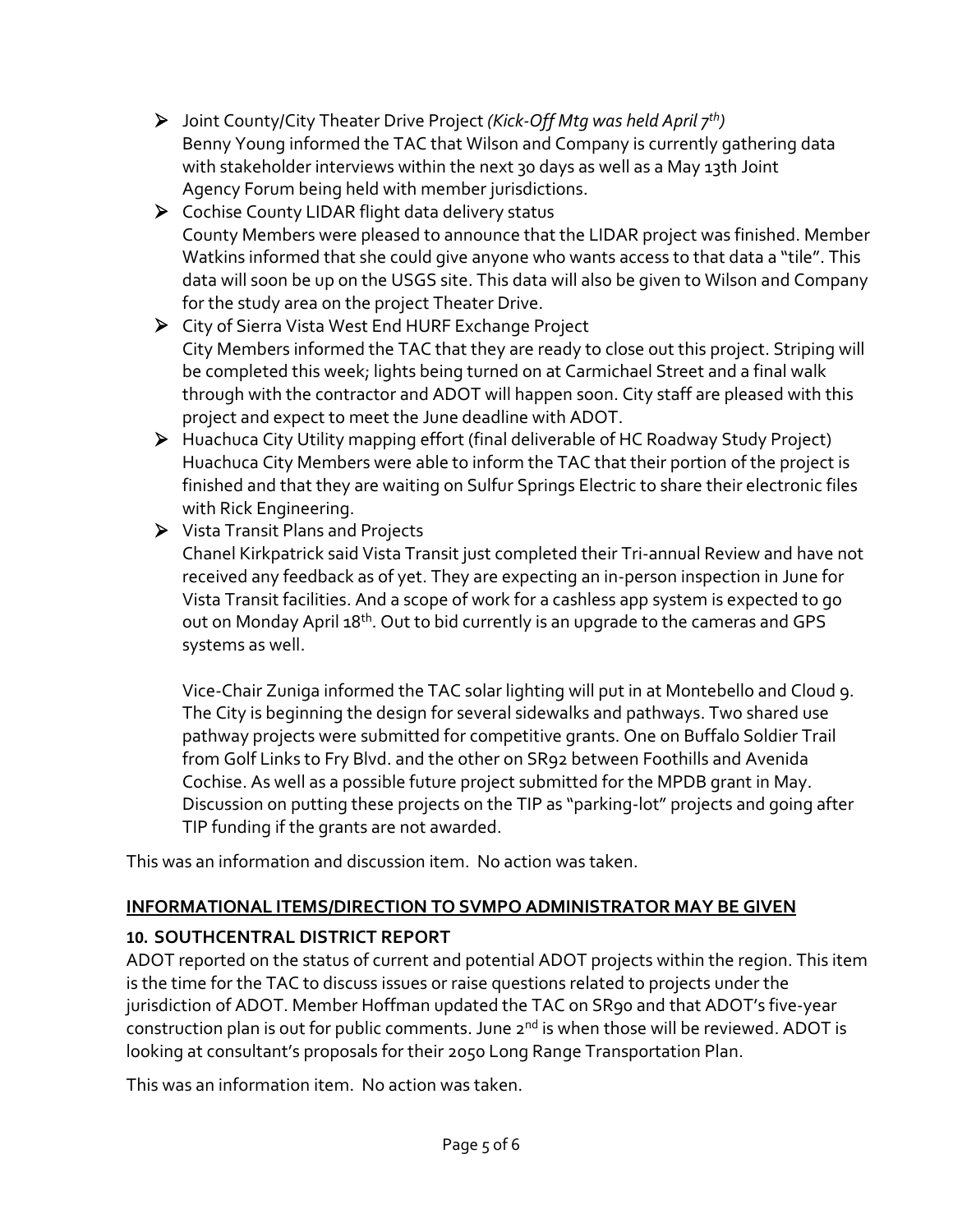- Joint County/City Theater Drive Project *(Kick-Off Mtg was held April 7th)*  Benny Young informed the TAC that Wilson and Company is currently gathering data with stakeholder interviews within the next 30 days as well as a May 13th Joint Agency Forum being held with member jurisdictions.
- ▶ Cochise County LIDAR flight data delivery status County Members were pleased to announce that the LIDAR project was finished. Member Watkins informed that she could give anyone who wants access to that data a "tile". This data will soon be up on the USGS site. This data will also be given to Wilson and Company for the study area on the project Theater Drive.
- City of Sierra Vista West End HURF Exchange Project City Members informed the TAC that they are ready to close out this project. Striping will be completed this week; lights being turned on at Carmichael Street and a final walk through with the contractor and ADOT will happen soon. City staff are pleased with this project and expect to meet the June deadline with ADOT.
- Huachuca City Utility mapping effort (final deliverable of HC Roadway Study Project) Huachuca City Members were able to inform the TAC that their portion of the project is finished and that they are waiting on Sulfur Springs Electric to share their electronic files with Rick Engineering.
- Vista Transit Plans and Projects Chanel Kirkpatrick said Vista Transit just completed their Tri-annual Review and have not received any feedback as of yet. They are expecting an in-person inspection in June for Vista Transit facilities. And a scope of work for a cashless app system is expected to go out on Monday April 18<sup>th</sup>. Out to bid currently is an upgrade to the cameras and GPS systems as well.

Vice-Chair Zuniga informed the TAC solar lighting will put in at Montebello and Cloud 9. The City is beginning the design for several sidewalks and pathways. Two shared use pathway projects were submitted for competitive grants. One on Buffalo Soldier Trail from Golf Links to Fry Blvd. and the other on SR92 between Foothills and Avenida Cochise. As well as a possible future project submitted for the MPDB grant in May. Discussion on putting these projects on the TIP as "parking-lot" projects and going after TIP funding if the grants are not awarded.

This was an information and discussion item. No action was taken.

# **INFORMATIONAL ITEMS/DIRECTION TO SVMPO ADMINISTRATOR MAY BE GIVEN**

# **10. SOUTHCENTRAL DISTRICT REPORT**

ADOT reported on the status of current and potential ADOT projects within the region. This item is the time for the TAC to discuss issues or raise questions related to projects under the jurisdiction of ADOT. Member Hoffman updated the TAC on SR90 and that ADOT's five-year construction plan is out for public comments. June 2<sup>nd</sup> is when those will be reviewed. ADOT is looking at consultant's proposals for their 2050 Long Range Transportation Plan.

This was an information item. No action was taken.